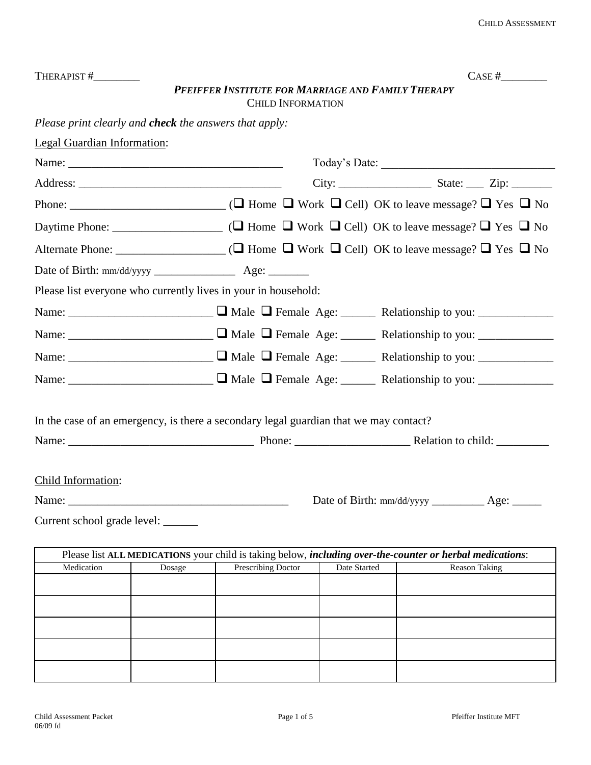| THERAPIST #                                                                                                                                                                                                                                                                                                                                                                                                                                           |                                                                                                                   |                                                    |                          |              |  |  |                      | CASE # |
|-------------------------------------------------------------------------------------------------------------------------------------------------------------------------------------------------------------------------------------------------------------------------------------------------------------------------------------------------------------------------------------------------------------------------------------------------------|-------------------------------------------------------------------------------------------------------------------|----------------------------------------------------|--------------------------|--------------|--|--|----------------------|--------|
|                                                                                                                                                                                                                                                                                                                                                                                                                                                       |                                                                                                                   | PFEIFFER INSTITUTE FOR MARRIAGE AND FAMILY THERAPY |                          |              |  |  |                      |        |
|                                                                                                                                                                                                                                                                                                                                                                                                                                                       |                                                                                                                   |                                                    | <b>CHILD INFORMATION</b> |              |  |  |                      |        |
| Please print clearly and <b>check</b> the answers that apply:                                                                                                                                                                                                                                                                                                                                                                                         |                                                                                                                   |                                                    |                          |              |  |  |                      |        |
| <b>Legal Guardian Information:</b>                                                                                                                                                                                                                                                                                                                                                                                                                    |                                                                                                                   |                                                    |                          |              |  |  |                      |        |
|                                                                                                                                                                                                                                                                                                                                                                                                                                                       |                                                                                                                   |                                                    |                          |              |  |  |                      |        |
|                                                                                                                                                                                                                                                                                                                                                                                                                                                       |                                                                                                                   |                                                    |                          |              |  |  |                      |        |
|                                                                                                                                                                                                                                                                                                                                                                                                                                                       |                                                                                                                   |                                                    |                          |              |  |  |                      |        |
|                                                                                                                                                                                                                                                                                                                                                                                                                                                       |                                                                                                                   |                                                    |                          |              |  |  |                      |        |
|                                                                                                                                                                                                                                                                                                                                                                                                                                                       |                                                                                                                   |                                                    |                          |              |  |  |                      |        |
|                                                                                                                                                                                                                                                                                                                                                                                                                                                       |                                                                                                                   |                                                    |                          |              |  |  |                      |        |
| Please list everyone who currently lives in your in household:                                                                                                                                                                                                                                                                                                                                                                                        |                                                                                                                   |                                                    |                          |              |  |  |                      |        |
|                                                                                                                                                                                                                                                                                                                                                                                                                                                       |                                                                                                                   |                                                    |                          |              |  |  |                      |        |
|                                                                                                                                                                                                                                                                                                                                                                                                                                                       |                                                                                                                   |                                                    |                          |              |  |  |                      |        |
|                                                                                                                                                                                                                                                                                                                                                                                                                                                       |                                                                                                                   |                                                    |                          |              |  |  |                      |        |
|                                                                                                                                                                                                                                                                                                                                                                                                                                                       |                                                                                                                   |                                                    |                          |              |  |  |                      |        |
| In the case of an emergency, is there a secondary legal guardian that we may contact?                                                                                                                                                                                                                                                                                                                                                                 |                                                                                                                   |                                                    |                          |              |  |  |                      |        |
|                                                                                                                                                                                                                                                                                                                                                                                                                                                       |                                                                                                                   |                                                    |                          |              |  |  |                      |        |
|                                                                                                                                                                                                                                                                                                                                                                                                                                                       |                                                                                                                   |                                                    |                          |              |  |  |                      |        |
| Child Information:                                                                                                                                                                                                                                                                                                                                                                                                                                    |                                                                                                                   |                                                    |                          |              |  |  |                      |        |
| Name: $\sqrt{\frac{1}{2} \cdot \frac{1}{2} \cdot \frac{1}{2} \cdot \frac{1}{2} \cdot \frac{1}{2} \cdot \frac{1}{2} \cdot \frac{1}{2} \cdot \frac{1}{2} \cdot \frac{1}{2} \cdot \frac{1}{2} \cdot \frac{1}{2} \cdot \frac{1}{2} \cdot \frac{1}{2} \cdot \frac{1}{2} \cdot \frac{1}{2} \cdot \frac{1}{2} \cdot \frac{1}{2} \cdot \frac{1}{2} \cdot \frac{1}{2} \cdot \frac{1}{2} \cdot \frac{1}{2} \cdot \frac{1}{2} \cdot \frac{1}{2} \cdot \frac{1}{$ |                                                                                                                   |                                                    |                          |              |  |  |                      |        |
| Current school grade level: ______                                                                                                                                                                                                                                                                                                                                                                                                                    |                                                                                                                   |                                                    |                          |              |  |  |                      |        |
|                                                                                                                                                                                                                                                                                                                                                                                                                                                       | Please list ALL MEDICATIONS your child is taking below, <i>including over-the-counter or herbal medications</i> : |                                                    |                          |              |  |  |                      |        |
| Medication                                                                                                                                                                                                                                                                                                                                                                                                                                            | Dosage                                                                                                            | <b>Prescribing Doctor</b>                          |                          | Date Started |  |  | <b>Reason Taking</b> |        |
|                                                                                                                                                                                                                                                                                                                                                                                                                                                       |                                                                                                                   |                                                    |                          |              |  |  |                      |        |
|                                                                                                                                                                                                                                                                                                                                                                                                                                                       |                                                                                                                   |                                                    |                          |              |  |  |                      |        |
|                                                                                                                                                                                                                                                                                                                                                                                                                                                       |                                                                                                                   |                                                    |                          |              |  |  |                      |        |
|                                                                                                                                                                                                                                                                                                                                                                                                                                                       |                                                                                                                   |                                                    |                          |              |  |  |                      |        |

|            | Please list ALL MEDICATIONS your child is taking below, <i>including over-the-counter or herbal medications</i> : |  |                      |  |  |  |  |
|------------|-------------------------------------------------------------------------------------------------------------------|--|----------------------|--|--|--|--|
| Medication | Prescribing Doctor<br>Date Started<br>Dosage                                                                      |  | <b>Reason Taking</b> |  |  |  |  |
|            |                                                                                                                   |  |                      |  |  |  |  |
|            |                                                                                                                   |  |                      |  |  |  |  |
|            |                                                                                                                   |  |                      |  |  |  |  |
|            |                                                                                                                   |  |                      |  |  |  |  |
|            |                                                                                                                   |  |                      |  |  |  |  |
|            |                                                                                                                   |  |                      |  |  |  |  |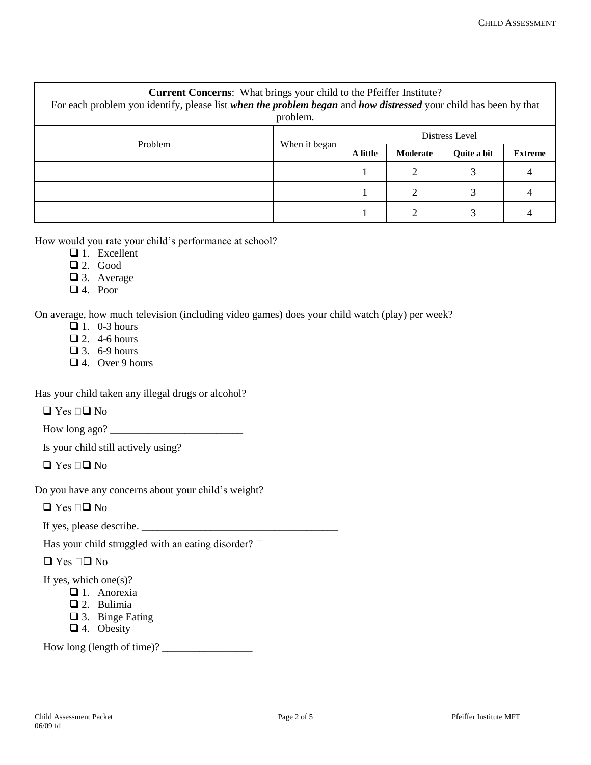| <b>Current Concerns:</b> What brings your child to the Pfeiffer Institute?<br>For each problem you identify, please list when the problem began and how distressed your child has been by that<br>problem. |               |                |          |                    |                |  |  |
|------------------------------------------------------------------------------------------------------------------------------------------------------------------------------------------------------------|---------------|----------------|----------|--------------------|----------------|--|--|
| Problem                                                                                                                                                                                                    | When it began | Distress Level |          |                    |                |  |  |
|                                                                                                                                                                                                            |               | A little       | Moderate | <b>Ouite a bit</b> | <b>Extreme</b> |  |  |
|                                                                                                                                                                                                            |               |                |          |                    |                |  |  |
|                                                                                                                                                                                                            |               |                | ∍        | $\bigcap$          |                |  |  |
|                                                                                                                                                                                                            |               |                |          |                    |                |  |  |

How would you rate your child's performance at school?

- $\Box$  1. Excellent
- $\Box$  2. Good
- □ 3. Average
- 4. Poor

On average, how much television (including video games) does your child watch (play) per week?

- $\Box$  1. 0-3 hours
- $\Box$  2. 4-6 hours
- $\Box$  3. 6-9 hours
- 4. Over 9 hours

Has your child taken any illegal drugs or alcohol?

 $\Box$  Yes  $\Box$  No

How long ago? \_\_\_\_\_\_\_\_\_\_\_\_\_\_\_\_\_\_\_\_\_\_\_\_\_

Is your child still actively using?

 $\Box$  Yes  $\Box$  No

Do you have any concerns about your child's weight?

 $\Box$  Yes  $\Box$  No

If yes, please describe. \_\_\_\_\_\_\_\_\_\_\_\_\_\_\_\_\_\_\_\_\_\_\_\_\_\_\_\_\_\_\_\_\_\_\_\_\_

Has your child struggled with an eating disorder?  $\square$ 

 $\Box$  Yes  $\Box$  No

If yes, which one $(s)$ ?

- $\Box$  1. Anorexia
	- 2. Bulimia
	- 3. Binge Eating
	- □ 4. Obesity

How long (length of time)?  $\frac{1}{2}$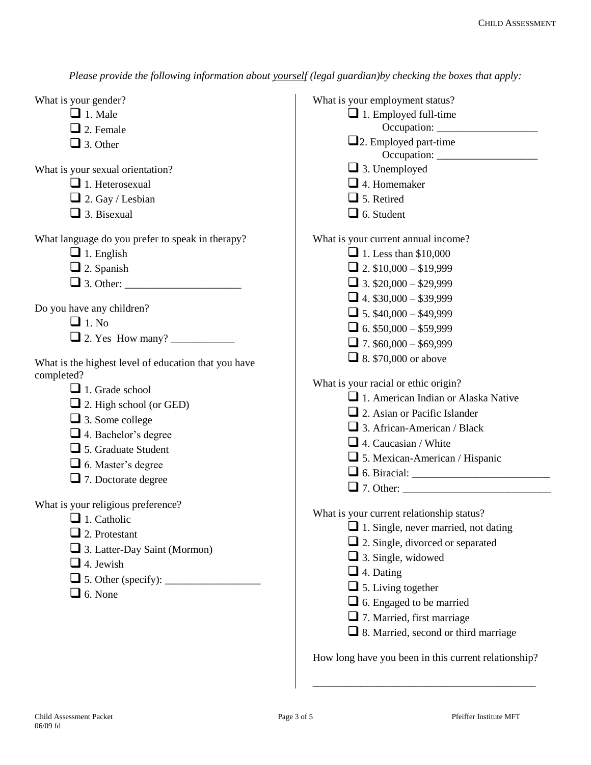*Please provide the following information about yourself (legal guardian)by checking the boxes that apply:*

What is your gender?

- $\Box$  1. Male
- $\Box$  2. Female
- $\Box$  3. Other

What is your sexual orientation?

- $\Box$  1. Heterosexual
- $\Box$  2. Gay / Lesbian
- $\Box$  3. Bisexual

What language do you prefer to speak in therapy?

- $\Box$  1. English
- $\Box$  2. Spanish
- 3. Other: \_\_\_\_\_\_\_\_\_\_\_\_\_\_\_\_\_\_\_\_\_\_

Do you have any children?

- $\Box$  1. No
- 2. Yes How many? \_\_\_\_\_\_\_\_\_\_\_\_

What is the highest level of education that you have completed?

- $\Box$  1. Grade school
- □ 2. High school (or GED)
- $\Box$  3. Some college
- 4. Bachelor's degree
- 5. Graduate Student
- 6. Master's degree
- 7. Doctorate degree

What is your religious preference?

- $\Box$  1. Catholic
- $\Box$  2. Protestant
- 3. Latter-Day Saint (Mormon)
- $\Box$  4. Jewish
- 5. Other (specify): \_\_\_\_\_\_\_\_\_\_\_\_\_\_\_\_\_\_
- $\Box$  6. None

| What is your employment status?             |  |
|---------------------------------------------|--|
| 1. Employed full-time                       |  |
|                                             |  |
| $\Box$ 2. Employed part-time                |  |
|                                             |  |
| $\Box$ 3. Unemployed                        |  |
| $\Box$ 4. Homemaker                         |  |
| $\Box$ 5. Retired                           |  |
| $\Box$ 6. Student                           |  |
| What is your current annual income?         |  |
| $\Box$ 1. Less than \$10,000                |  |
| $\Box$ 2. \$10,000 - \$19,999               |  |
| $\Box$ 3. \$20,000 - \$29,999               |  |
| $\Box$ 4. \$30,000 - \$39,999               |  |
| $\Box$ 5. \$40,000 - \$49,999               |  |
| $\Box$ 6. \$50,000 - \$59,999               |  |
| $\Box$ 7. \$60,000 - \$69,999               |  |
| $\Box$ 8. \$70,000 or above                 |  |
|                                             |  |
| What is your racial or ethic origin?        |  |
| 1. American Indian or Alaska Native         |  |
| $\Box$ 2. Asian or Pacific Islander         |  |
| $\Box$ 3. African-American / Black          |  |
| $\Box$ 4. Caucasian / White                 |  |
| $\Box$ 5. Mexican-American / Hispanic       |  |
|                                             |  |
|                                             |  |
| What is your current relationship status?   |  |
| $\Box$ 1. Single, never married, not dating |  |
| $\Box$ 2. Single, divorced or separated     |  |
| $\Box$ 3. Single, widowed                   |  |
| $\Box$ 4. Dating                            |  |
| $\Box$ 5. Living together                   |  |
| $\Box$ 6. Engaged to be married             |  |
| $\Box$ 7. Married, first marriage           |  |
| $\Box$ 8. Married, second or third marriage |  |
|                                             |  |

How long have you been in this current relationship?

\_\_\_\_\_\_\_\_\_\_\_\_\_\_\_\_\_\_\_\_\_\_\_\_\_\_\_\_\_\_\_\_\_\_\_\_\_\_\_\_\_\_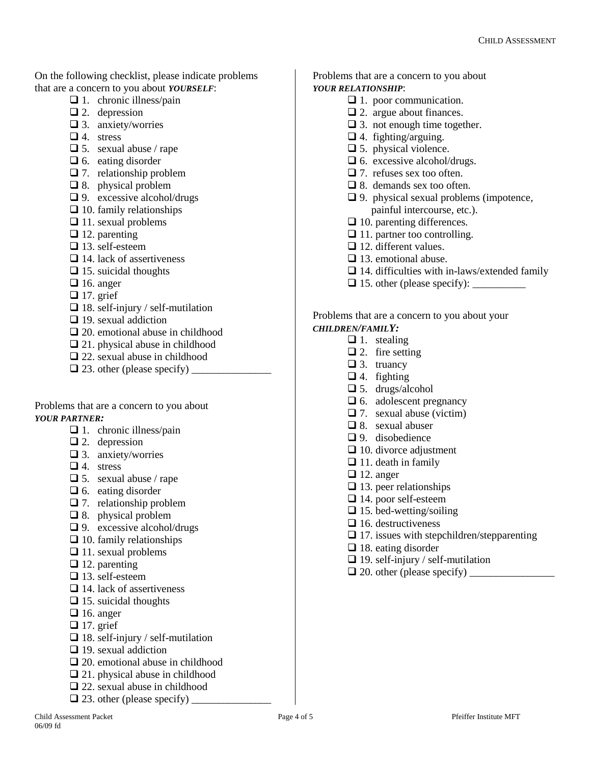On the following checklist, please indicate problems that are a concern to you about *YOURSELF*:

- $\Box$  1. chronic illness/pain
- $\Box$  2. depression
- $\Box$  3. anxiety/worries
- $\Box$  4. stress
- $\Box$  5. sexual abuse / rape
- $\Box$  6. eating disorder
- $\Box$  7. relationship problem
- $\Box$  8. physical problem
- $\Box$  9. excessive alcohol/drugs
- $\Box$  10. family relationships
- $\Box$  11. sexual problems
- $\Box$  12. parenting
- $\Box$  13. self-esteem
- $\Box$  14. lack of assertiveness
- $\Box$  15. suicidal thoughts
- $\Box$  16. anger
- $\Box$  17. grief
- $\Box$  18. self-injury / self-mutilation
- $\Box$  19. sexual addiction
- $\Box$  20. emotional abuse in childhood
- $\Box$  21. physical abuse in childhood
- 22. sexual abuse in childhood
- $\Box$  23. other (please specify)

Problems that are a concern to you about *YOUR PARTNER:*

- $\Box$  1. chronic illness/pain
- $\Box$  2. depression
- $\Box$  3. anxiety/worries
- $\Box$  4. stress
- $\Box$  5. sexual abuse / rape
- $\Box$  6. eating disorder
- $\Box$  7. relationship problem
- □ 8. physical problem
- $\Box$  9. excessive alcohol/drugs
- $\Box$  10. family relationships
- $\Box$  11. sexual problems
- $\Box$  12. parenting
- $\Box$  13. self-esteem
- $\Box$  14. lack of assertiveness
- $\Box$  15. suicidal thoughts
- $\Box$  16. anger
- $\Box$  17. grief
- $\Box$  18. self-injury / self-mutilation
- $\Box$  19. sexual addiction
- 20. emotional abuse in childhood
- □ 21. physical abuse in childhood
- 22. sexual abuse in childhood
- $\Box$  23. other (please specify)

Problems that are a concern to you about *YOUR RELATIONSHIP*:

- $\Box$  1. poor communication.
- $\Box$  2. argue about finances.
- $\Box$  3. not enough time together.
- $\Box$  4. fighting/arguing.
- □ 5. physical violence.
- $\Box$  6. excessive alcohol/drugs.
- $\Box$  7. refuses sex too often.
- □ 8. demands sex too often.
- $\Box$  9. physical sexual problems (impotence, painful intercourse, etc.).
- $\Box$  10. parenting differences.
- $\Box$  11. partner too controlling.
- $\Box$  12. different values.
- $\Box$  13. emotional abuse.
- $\Box$  14. difficulties with in-laws/extended family
- $\Box$  15. other (please specify):

## Problems that are a concern to you about your *CHILDREN/FAMILY:*

## $\Box$  1. stealing

- 
- $\Box$  2. fire setting
- $\Box$  3. truancy
- $\Box$  4. fighting
- $\Box$  5. drugs/alcohol
- $\Box$  6. adolescent pregnancy
- $\Box$  7. sexual abuse (victim)
- $\Box$  8. sexual abuser
- $\Box$  9. disobedience
- $\Box$  10. divorce adjustment
- $\Box$  11. death in family
- $\Box$  12. anger
- $\Box$  13. peer relationships
- □ 14. poor self-esteem
- $\Box$  15. bed-wetting/soiling
- $\Box$  16. destructiveness
- $\Box$  17. issues with stepchildren/stepparenting
- $\Box$  18. eating disorder
- $\Box$  19. self-injury / self-mutilation
- 20. other (please specify) \_\_\_\_\_\_\_\_\_\_\_\_\_\_\_\_